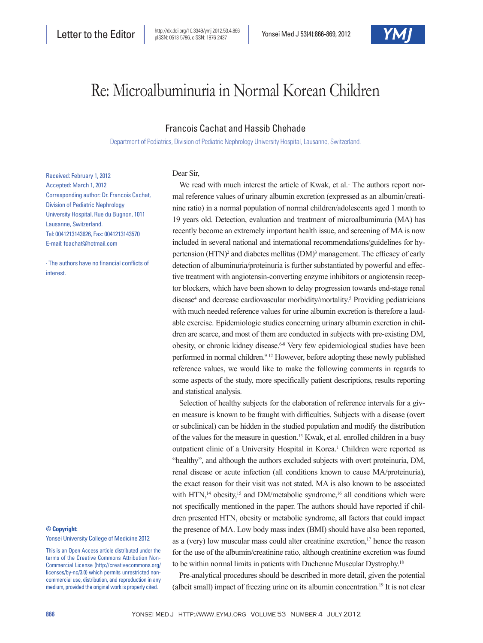

# Re: Microalbuminuria in Normal Korean Children

## Francois Cachat and Hassib Chehade

Department of Pediatrics, Division of Pediatric Nephrology University Hospital, Lausanne, Switzerland.

Received: February 1, 2012 Accepted: March 1, 2012 Corresponding author: Dr. Francois Cachat, Division of Pediatric Nephrology University Hospital, Rue du Bugnon, 1011 Lausanne, Switzerland. Tel: 0041213143626, Fax: 0041213143570 E-mail: fcachat@hotmail.com

∙ The authors have no financial conflicts of interest.

#### **© Copyright:**

Yonsei University College of Medicine 2012

This is an Open Access article distributed under the terms of the Creative Commons Attribution Non-Commercial License (http://creativecommons.org/ licenses/by-nc/3.0) which permits unrestricted noncommercial use, distribution, and reproduction in any medium, provided the original work is properly cited.

### Dear Sir,

We read with much interest the article of Kwak, et al.<sup>1</sup> The authors report normal reference values of urinary albumin excretion (expressed as an albumin/creatinine ratio) in a normal population of normal children/adolescents aged 1 month to 19 years old. Detection, evaluation and treatment of microalbuminuria (MA) has recently become an extremely important health issue, and screening of MA is now included in several national and international recommendations/guidelines for hypertension (HTN)<sup>2</sup> and diabetes mellitus (DM)<sup>3</sup> management. The efficacy of early detection of albuminuria/proteinuria is further substantiated by powerful and effective treatment with angiotensin-converting enzyme inhibitors or angiotensin receptor blockers, which have been shown to delay progression towards end-stage renal disease<sup>4</sup> and decrease cardiovascular morbidity/mortality.<sup>5</sup> Providing pediatricians with much needed reference values for urine albumin excretion is therefore a laudable exercise. Epidemiologic studies concerning urinary albumin excretion in children are scarce, and most of them are conducted in subjects with pre-existing DM, obesity, or chronic kidney disease.<sup>6-8</sup> Very few epidemiological studies have been performed in normal children.<sup>9-12</sup> However, before adopting these newly published reference values, we would like to make the following comments in regards to some aspects of the study, more specifically patient descriptions, results reporting and statistical analysis.

Selection of healthy subjects for the elaboration of reference intervals for a given measure is known to be fraught with difficulties. Subjects with a disease (overt or subclinical) can be hidden in the studied population and modify the distribution of the values for the measure in question.13 Kwak, et al. enrolled children in a busy outpatient clinic of a University Hospital in Korea.<sup>1</sup> Children were reported as "healthy", and although the authors excluded subjects with overt proteinuria, DM, renal disease or acute infection (all conditions known to cause MA/proteinuria), the exact reason for their visit was not stated. MA is also known to be associated with HTN,<sup>14</sup> obesity,<sup>15</sup> and DM/metabolic syndrome,<sup>16</sup> all conditions which were not specifically mentioned in the paper. The authors should have reported if children presented HTN, obesity or metabolic syndrome, all factors that could impact the presence of MA. Low body mass index (BMI) should have also been reported, as a (very) low muscular mass could alter creatinine excretion,<sup>17</sup> hence the reason for the use of the albumin/creatinine ratio, although creatinine excretion was found to be within normal limits in patients with Duchenne Muscular Dystrophy.18

Pre-analytical procedures should be described in more detail, given the potential (albeit small) impact of freezing urine on its albumin concentration.19 It is not clear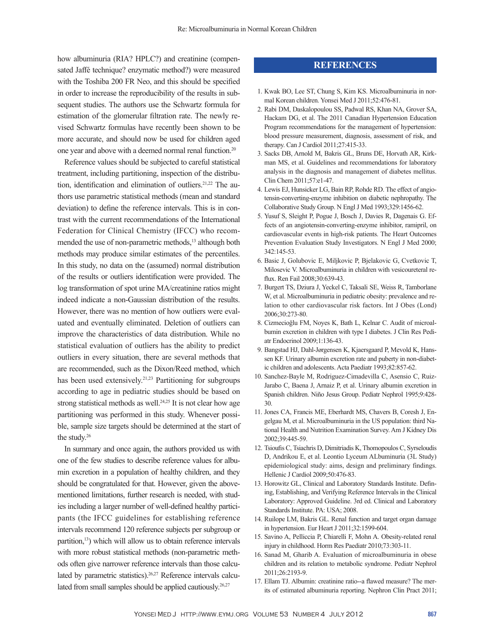how albuminuria (RIA? HPLC?) and creatinine (compensated Jaffé technique? enzymatic method?) were measured with the Toshiba 200 FR Neo, and this should be specified in order to increase the reproducibility of the results in subsequent studies. The authors use the Schwartz formula for estimation of the glomerular filtration rate. The newly revised Schwartz formulas have recently been shown to be more accurate, and should now be used for children aged one year and above with a deemed normal renal function.20

Reference values should be subjected to careful statistical treatment, including partitioning, inspection of the distribution, identification and elimination of outliers.<sup>21,22</sup> The authors use parametric statistical methods (mean and standard deviation) to define the reference intervals. This is in contrast with the current recommendations of the International Federation for Clinical Chemistry (IFCC) who recommended the use of non-parametric methods,<sup>13</sup> although both methods may produce similar estimates of the percentiles. In this study, no data on the (assumed) normal distribution of the results or outliers identification were provided. The log transformation of spot urine MA/creatinine ratios might indeed indicate a non-Gaussian distribution of the results. However, there was no mention of how outliers were evaluated and eventually eliminated. Deletion of outliers can improve the characteristics of data distribution. While no statistical evaluation of outliers has the ability to predict outliers in every situation, there are several methods that are recommended, such as the Dixon/Reed method, which has been used extensively.<sup>21,23</sup> Partitioning for subgroups according to age in pediatric studies should be based on strong statistical methods as well.<sup>24,25</sup> It is not clear how age partitioning was performed in this study. Whenever possible, sample size targets should be determined at the start of the study.26

In summary and once again, the authors provided us with one of the few studies to describe reference values for albumin excretion in a population of healthy children, and they should be congratulated for that. However, given the abovementioned limitations, further research is needed, with studies including a larger number of well-defined healthy participants (the IFCC guidelines for establishing reference intervals recommend 120 reference subjects per subgroup or partition,<sup>13</sup>) which will allow us to obtain reference intervals with more robust statistical methods (non-parametric methods often give narrower reference intervals than those calculated by parametric statistics).<sup>26,27</sup> Reference intervals calculated from small samples should be applied cautiously.<sup>26,27</sup>

## **REFERENCES**

- 1. Kwak BO, Lee ST, Chung S, Kim KS. Microalbuminuria in normal Korean children. Yonsei Med J 2011;52:476-81.
- 2. Rabi DM, Daskalopoulou SS, Padwal RS, Khan NA, Grover SA, Hackam DG, et al. The 2011 Canadian Hypertension Education Program recommendations for the management of hypertension: blood pressure measurement, diagnosis, assessment of risk, and therapy. Can J Cardiol 2011;27:415-33.
- 3. Sacks DB, Arnold M, Bakris GL, Bruns DE, Horvath AR, Kirkman MS, et al. Guidelines and recommendations for laboratory analysis in the diagnosis and management of diabetes mellitus. Clin Chem 2011;57:e1-47.
- 4. Lewis EJ, Hunsicker LG, Bain RP, Rohde RD. The effect of angiotensin-converting-enzyme inhibition on diabetic nephropathy. The Collaborative Study Group. N Engl J Med 1993;329:1456-62.
- 5. Yusuf S, Sleight P, Pogue J, Bosch J, Davies R, Dagenais G. Effects of an angiotensin-converting-enzyme inhibitor, ramipril, on cardiovascular events in high-risk patients. The Heart Outcomes Prevention Evaluation Study Investigators. N Engl J Med 2000; 342:145-53.
- 6. Basic J, Golubovic E, Miljkovic P, Bjelakovic G, Cvetkovic T, Milosevic V. Microalbuminuria in children with vesicoureteral reflux. Ren Fail 2008;30:639-43.
- 7. Burgert TS, Dziura J, Yeckel C, Taksali SE, Weiss R, Tamborlane W, et al. Microalbuminuria in pediatric obesity: prevalence and relation to other cardiovascular risk factors. Int J Obes (Lond) 2006;30:273-80.
- 8. Cizmecioğlu FM, Noyes K, Bath L, Kelnar C. Audit of microalbumin excretion in children with type I diabetes. J Clin Res Pediatr Endocrinol 2009;1:136-43.
- 9. Bangstad HJ, Dahl-Jørgensen K, Kjaersgaard P, Mevold K, Hanssen KF. Urinary albumin excretion rate and puberty in non-diabetic children and adolescents. Acta Paediatr 1993;82:857-62.
- 10. Sanchez-Bayle M, Rodriguez-Cimadevilla C, Asensio C, Ruiz-Jarabo C, Baena J, Arnaiz P, et al. Urinary albumin excretion in Spanish children. Niño Jesus Group. Pediatr Nephrol 1995;9:428- 30.
- 11. Jones CA, Francis ME, Eberhardt MS, Chavers B, Coresh J, Engelgau M, et al. Microalbuminuria in the US population: third National Health and Nutrition Examination Survey. Am J Kidney Dis 2002;39:445-59.
- 12. Tsioufis C, Tsiachris D, Dimitriadis K, Thomopoulos C, Syrseloudis D, Andrikou E, et al. Leontio Lyceum ALbuminuria (3L Study) epidemiological study: aims, design and preliminary findings. Hellenic J Cardiol 2009;50:476-83.
- 13. Horowitz GL, Clinical and Laboratory Standards Institute. Defining, Establishing, and Verifying Reference Intervals in the Clinical Laboratory: Approved Guideline. 3rd ed. Clinical and Laboratory Standards Institute. PA: USA; 2008.
- 14. Ruilope LM, Bakris GL. Renal function and target organ damage in hypertension. Eur Heart J 2011;32:1599-604.
- 15. Savino A, Pelliccia P, Chiarelli F, Mohn A. Obesity-related renal injury in childhood. Horm Res Paediatr 2010;73:303-11.
- 16. Sanad M, Gharib A. Evaluation of microalbuminuria in obese children and its relation to metabolic syndrome. Pediatr Nephrol 2011;26:2193-9.
- 17. Ellam TJ. Albumin: creatinine ratio--a flawed measure? The merits of estimated albuminuria reporting. Nephron Clin Pract 2011;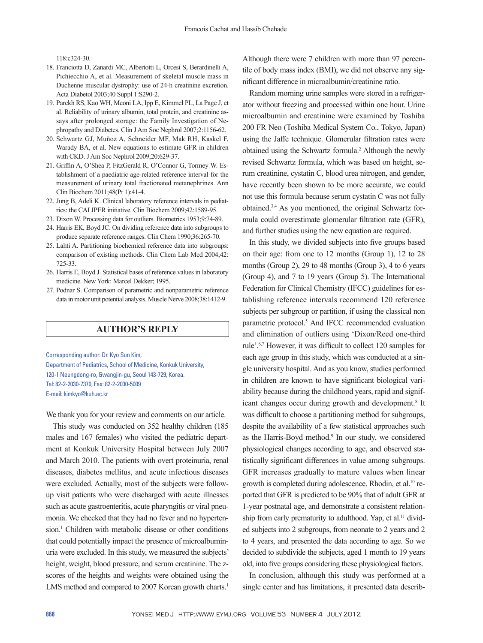118:c324-30.

- 18. Franciotta D, Zanardi MC, Albertotti L, Orcesi S, Berardinelli A, Pichiecchio A, et al. Measurement of skeletal muscle mass in Duchenne muscular dystrophy: use of 24-h creatinine excretion. Acta Diabetol 2003;40 Suppl 1:S290-2.
- 19. Parekh RS, Kao WH, Meoni LA, Ipp E, Kimmel PL, La Page J, et al. Reliability of urinary albumin, total protein, and creatinine assays after prolonged storage: the Family Investigation of Nephropathy and Diabetes. Clin J Am Soc Nephrol 2007;2:1156-62.
- 20. Schwartz GJ, Muñoz A, Schneider MF, Mak RH, Kaskel F, Warady BA, et al. New equations to estimate GFR in children with CKD. J Am Soc Nephrol 2009;20:629-37.
- 21. Griffin A, O'Shea P, FitzGerald R, O'Connor G, Tormey W. Establishment of a paediatric age-related reference interval for the measurement of urinary total fractionated metanephrines. Ann Clin Biochem 2011;48(Pt 1):41-4.
- 22. Jung B, Adeli K. Clinical laboratory reference intervals in pediatrics: the CALIPER initiative. Clin Biochem 2009;42:1589-95.
- 23. Dixon W. Processing data for outliers. Biometrics 1953;9:74-89.
- 24. Harris EK, Boyd JC. On dividing reference data into subgroups to produce separate reference ranges. Clin Chem 1990;36:265-70.
- 25. Lahti A. Partitioning biochemical reference data into subgroups: comparison of existing methods. Clin Chem Lab Med 2004;42: 725-33.
- 26. Harris E, Boyd J. Statistical bases of reference values in laboratory medicine. New York: Marcel Dekker; 1995.
- 27. Podnar S. Comparison of parametric and nonparametric reference data in motor unit potential analysis. Muscle Nerve 2008;38:1412-9.

## **AUTHOR'S REPLY**

Corresponding author: Dr. Kyo Sun Kim, Department of Pediatrics, School of Medicine, Konkuk University, 120-1 Neungdong-ro, Gwangjin-gu, Seoul 143-729, Korea. Tel: 82-2-2030-7370, Fax: 82-2-2030-5009 E-mail: kimkyo@kuh.ac.kr

We thank you for your review and comments on our article.

This study was conducted on 352 healthy children (185 males and 167 females) who visited the pediatric department at Konkuk University Hospital between July 2007 and March 2010. The patients with overt proteinuria, renal diseases, diabetes mellitus, and acute infectious diseases were excluded. Actually, most of the subjects were followup visit patients who were discharged with acute illnesses such as acute gastroenteritis, acute pharyngitis or viral pneumonia. We checked that they had no fever and no hypertension.<sup>1</sup> Children with metabolic disease or other conditions that could potentially impact the presence of microalbuminuria were excluded. In this study, we measured the subjects' height, weight, blood pressure, and serum creatinine. The zscores of the heights and weights were obtained using the LMS method and compared to 2007 Korean growth charts.<sup>1</sup>

Although there were 7 children with more than 97 percentile of body mass index (BMI), we did not observe any significant difference in microalbumin/creatinine ratio.

Random morning urine samples were stored in a refrigerator without freezing and processed within one hour. Urine microalbumin and creatinine were examined by Toshiba 200 FR Neo (Toshiba Medical System Co., Tokyo, Japan) using the Jaffe technique. Glomerular filtration rates were obtained using the Schwartz formula.<sup>2</sup> Although the newly revised Schwartz formula, which was based on height, serum creatinine, cystatin C, blood urea nitrogen, and gender, have recently been shown to be more accurate, we could not use this formula because serum cystatin C was not fully obtained.3,4 As you mentioned, the original Schwartz formula could overestimate glomerular filtration rate (GFR), and further studies using the new equation are required.

In this study, we divided subjects into five groups based on their age: from one to 12 months (Group 1), 12 to 28 months (Group 2), 29 to 48 months (Group 3), 4 to 6 years (Group 4), and 7 to 19 years (Group 5). The International Federation for Clinical Chemistry (IFCC) guidelines for establishing reference intervals recommend 120 reference subjects per subgroup or partition, if using the classical non parametric protocol.<sup>5</sup> And IFCC recommended evaluation and elimination of outliers using 'Dixon/Reed one-third rule'.6,7 However, it was difficult to collect 120 samples for each age group in this study, which was conducted at a single university hospital. And as you know, studies performed in children are known to have significant biological variability because during the childhood years, rapid and significant changes occur during growth and development.<sup>8</sup> It was difficult to choose a partitioning method for subgroups, despite the availability of a few statistical approaches such as the Harris-Boyd method.<sup>9</sup> In our study, we considered physiological changes according to age, and observed statistically significant differences in value among subgroups. GFR increases gradually to mature values when linear growth is completed during adolescence. Rhodin, et al.10 reported that GFR is predicted to be 90% that of adult GFR at 1-year postnatal age, and demonstrate a consistent relationship from early prematurity to adulthood. Yap, et al.<sup>11</sup> divided subjects into 2 subgroups, from neonate to 2 years and 2 to 4 years, and presented the data according to age. So we decided to subdivide the subjects, aged 1 month to 19 years old, into five groups considering these physiological factors.

In conclusion, although this study was performed at a single center and has limitations, it presented data describ